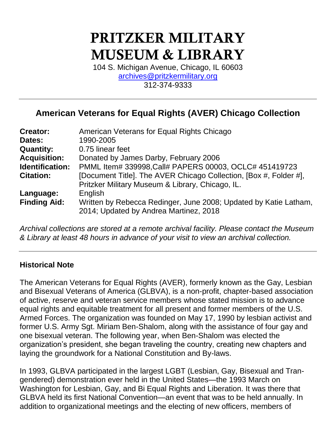# PRITZKER MILITARY MUSEUM & LIBRARY

104 S. Michigan Avenue, Chicago, IL 60603 [archives@pritzkermilitary.org](mailto:archives@pritzkermilitary.org) 312-374-9333

# **American Veterans for Equal Rights (AVER) Chicago Collection**

| <b>Creator:</b>     | American Veterans for Equal Rights Chicago                                                                 |
|---------------------|------------------------------------------------------------------------------------------------------------|
| Dates:              | 1990-2005                                                                                                  |
| <b>Quantity:</b>    | 0.75 linear feet                                                                                           |
| <b>Acquisition:</b> | Donated by James Darby, February 2006                                                                      |
| Identification:     | PMML Item# 339998, Call# PAPERS 00003, OCLC# 451419723                                                     |
| <b>Citation:</b>    | [Document Title]. The AVER Chicago Collection, [Box #, Folder #],                                          |
|                     | Pritzker Military Museum & Library, Chicago, IL.                                                           |
| Language:           | English                                                                                                    |
| <b>Finding Aid:</b> | Written by Rebecca Redinger, June 2008; Updated by Katie Latham,<br>2014; Updated by Andrea Martinez, 2018 |

*Archival collections are stored at a remote archival facility. Please contact the Museum & Library at least 48 hours in advance of your visit to view an archival collection.*

#### **Historical Note**

The American Veterans for Equal Rights (AVER), formerly known as the Gay, Lesbian and Bisexual Veterans of America (GLBVA), is a non-profit, chapter-based association of active, reserve and veteran service members whose stated mission is to advance equal rights and equitable treatment for all present and former members of the U.S. Armed Forces. The organization was founded on May 17, 1990 by lesbian activist and former U.S. Army Sgt. Miriam Ben-Shalom, along with the assistance of four gay and one bisexual veteran. The following year, when Ben-Shalom was elected the organization's president, she began traveling the country, creating new chapters and laying the groundwork for a National Constitution and By-laws.

In 1993, GLBVA participated in the largest LGBT (Lesbian, Gay, Bisexual and Trangendered) demonstration ever held in the United States—the 1993 March on Washington for Lesbian, Gay, and Bi Equal Rights and Liberation. It was there that GLBVA held its first National Convention—an event that was to be held annually. In addition to organizational meetings and the electing of new officers, members of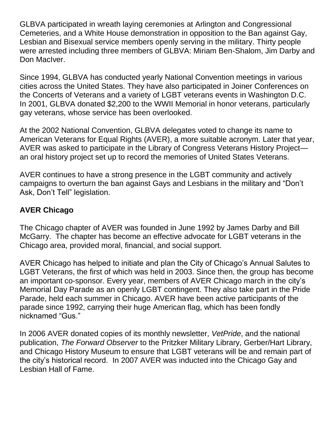GLBVA participated in wreath laying ceremonies at Arlington and Congressional Cemeteries, and a White House demonstration in opposition to the Ban against Gay, Lesbian and Bisexual service members openly serving in the military. Thirty people were arrested including three members of GLBVA: Miriam Ben-Shalom, Jim Darby and Don MacIver.

Since 1994, GLBVA has conducted yearly National Convention meetings in various cities across the United States. They have also participated in Joiner Conferences on the Concerts of Veterans and a variety of LGBT veterans events in Washington D.C. In 2001, GLBVA donated \$2,200 to the WWII Memorial in honor veterans, particularly gay veterans, whose service has been overlooked.

At the 2002 National Convention, GLBVA delegates voted to change its name to American Veterans for Equal Rights (AVER), a more suitable acronym. Later that year, AVER was asked to participate in the Library of Congress Veterans History Project an oral history project set up to record the memories of United States Veterans.

AVER continues to have a strong presence in the LGBT community and actively campaigns to overturn the ban against Gays and Lesbians in the military and "Don't Ask, Don't Tell" legislation.

### **AVER Chicago**

The Chicago chapter of AVER was founded in June 1992 by James Darby and Bill McGarry. The chapter has become an effective advocate for LGBT veterans in the Chicago area, provided moral, financial, and social support.

AVER Chicago has helped to initiate and plan the City of Chicago's Annual Salutes to LGBT Veterans, the first of which was held in 2003. Since then, the group has become an important co-sponsor. Every year, members of AVER Chicago march in the city's Memorial Day Parade as an openly LGBT contingent. They also take part in the Pride Parade, held each summer in Chicago. AVER have been active participants of the parade since 1992, carrying their huge American flag, which has been fondly nicknamed "Gus."

In 2006 AVER donated copies of its monthly newsletter, *VetPride*, and the national publication, *The Forward Observer* to the Pritzker Military Library, Gerber/Hart Library, and Chicago History Museum to ensure that LGBT veterans will be and remain part of the city's historical record. In 2007 AVER was inducted into the Chicago Gay and Lesbian Hall of Fame.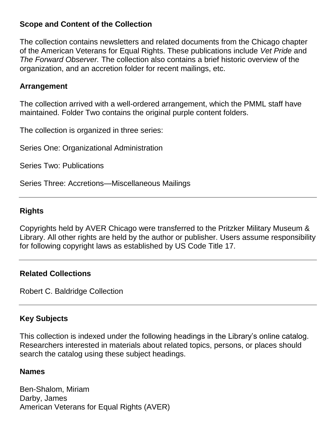#### **Scope and Content of the Collection**

The collection contains newsletters and related documents from the Chicago chapter of the American Veterans for Equal Rights. These publications include *Vet Pride* and *The Forward Observer.* The collection also contains a brief historic overview of the organization, and an accretion folder for recent mailings, etc.

#### **Arrangement**

The collection arrived with a well-ordered arrangement, which the PMML staff have maintained. Folder Two contains the original purple content folders.

The collection is organized in three series:

Series One: Organizational Administration

Series Two: Publications

Series Three: Accretions—Miscellaneous Mailings

# **Rights**

Copyrights held by AVER Chicago were transferred to the Pritzker Military Museum & Library. All other rights are held by the author or publisher. Users assume responsibility for following copyright laws as established by US Code Title 17.

#### **Related Collections**

Robert C. Baldridge Collection

# **Key Subjects**

This collection is indexed under the following headings in the Library's online catalog. Researchers interested in materials about related topics, persons, or places should search the catalog using these subject headings.

#### **Names**

Ben-Shalom, Miriam Darby, James American Veterans for Equal Rights (AVER)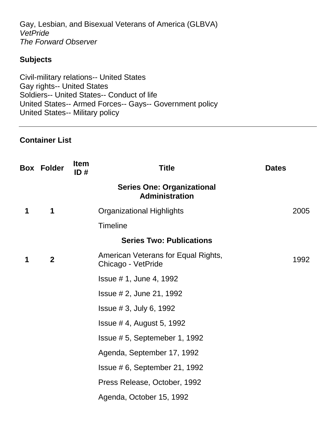Gay, Lesbian, and Bisexual Veterans of America (GLBVA) *VetPride The Forward Observer*

#### **Subjects**

Civil-military relations-- United States Gay rights-- United States Soldiers-- United States-- Conduct of life United States-- Armed Forces-- Gays-- Government policy United States-- Military policy

#### **Container List**

|   | <b>Box Folder</b> | <b>Item</b><br>ID# | <b>Title</b>                                               | <b>Dates</b> |
|---|-------------------|--------------------|------------------------------------------------------------|--------------|
|   |                   |                    | <b>Series One: Organizational</b><br><b>Administration</b> |              |
| 1 | 1                 |                    | <b>Organizational Highlights</b>                           | 2005         |
|   |                   |                    | <b>Timeline</b>                                            |              |
|   |                   |                    | <b>Series Two: Publications</b>                            |              |
| 1 | $\mathbf{2}$      |                    | American Veterans for Equal Rights,<br>Chicago - VetPride  | 1992         |
|   |                   |                    | <b>Issue # 1, June 4, 1992</b>                             |              |
|   |                   |                    | <b>Issue # 2, June 21, 1992</b>                            |              |
|   |                   |                    | Is sue # 3, July 6, 1992                                   |              |
|   |                   |                    | Issue $#$ 4, August 5, 1992                                |              |
|   |                   |                    | Issue #5, Septemeber 1, 1992                               |              |
|   |                   |                    | Agenda, September 17, 1992                                 |              |
|   |                   |                    | Issue # 6, September 21, 1992                              |              |
|   |                   |                    | Press Release, October, 1992                               |              |
|   |                   |                    | Agenda, October 15, 1992                                   |              |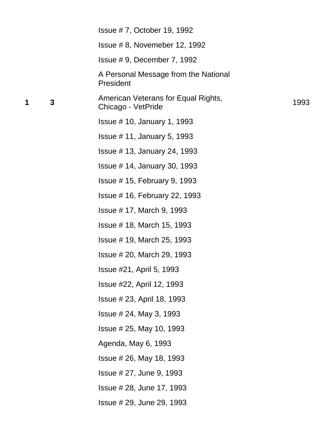|   | Issue #7, October 19, 1992                                |      |
|---|-----------------------------------------------------------|------|
|   | Issue #8, Novemeber 12, 1992                              |      |
|   | Issue $# 9$ , December 7, 1992                            |      |
|   | A Personal Message from the National<br>President         |      |
| 3 | American Veterans for Equal Rights,<br>Chicago - VetPride | 1993 |
|   | <b>Issue #10, January 1, 1993</b>                         |      |
|   | Issue $#$ 11, January 5, 1993                             |      |
|   | <b>Issue #13, January 24, 1993</b>                        |      |
|   | <b>Issue #14, January 30, 1993</b>                        |      |
|   | Issue $#$ 15, February 9, 1993                            |      |
|   | <b>Issue #16, February 22, 1993</b>                       |      |
|   | Issue # 17, March 9, 1993                                 |      |
|   | Issue # 18, March 15, 1993                                |      |
|   | Issue #19, March 25, 1993                                 |      |
|   | Issue # 20, March 29, 1993                                |      |
|   | <b>Issue #21, April 5, 1993</b>                           |      |
|   | Issue #22, April 12, 1993                                 |      |
|   | Issue # 23, April 18, 1993                                |      |
|   | Is sue # 24, May 3, 1993                                  |      |
|   | $l$ ssue # 25, May 10, 1993                               |      |
|   | Agenda, May 6, 1993                                       |      |
|   | <b>Issue # 26, May 18, 1993</b>                           |      |
|   | Issue # 27, June 9, 1993                                  |      |
|   | Issue # 28, June 17, 1993                                 |      |
|   | Issue # 29, June 29, 1993                                 |      |
|   |                                                           |      |

**1 3**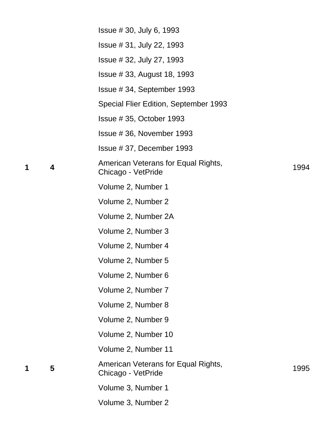|   |                         | Issue # 30, July 6, 1993                                  |      |
|---|-------------------------|-----------------------------------------------------------|------|
|   |                         | Issue # 31, July 22, 1993                                 |      |
|   |                         | Issue # 32, July 27, 1993                                 |      |
|   |                         | <b>Issue #33, August 18, 1993</b>                         |      |
|   |                         | Issue #34, September 1993                                 |      |
|   |                         | Special Flier Edition, September 1993                     |      |
|   |                         | Is sue # 35, October 1993                                 |      |
|   |                         | Issue #36, November 1993                                  |      |
|   |                         | Issue #37, December 1993                                  |      |
| 1 | $\overline{\mathbf{4}}$ | American Veterans for Equal Rights,<br>Chicago - VetPride | 1994 |
|   |                         | Volume 2, Number 1                                        |      |
|   |                         | Volume 2, Number 2                                        |      |
|   |                         | Volume 2, Number 2A                                       |      |
|   |                         | Volume 2, Number 3                                        |      |
|   |                         | Volume 2, Number 4                                        |      |
|   |                         | Volume 2, Number 5                                        |      |
|   |                         | Volume 2, Number 6                                        |      |
|   |                         | Volume 2, Number 7                                        |      |
|   |                         | Volume 2, Number 8                                        |      |
|   |                         | Volume 2, Number 9                                        |      |
|   |                         | Volume 2, Number 10                                       |      |
|   |                         | Volume 2, Number 11                                       |      |
| 1 | 5                       | American Veterans for Equal Rights,<br>Chicago - VetPride | 1995 |
|   |                         | Volume 3, Number 1                                        |      |
|   |                         | Volume 3, Number 2                                        |      |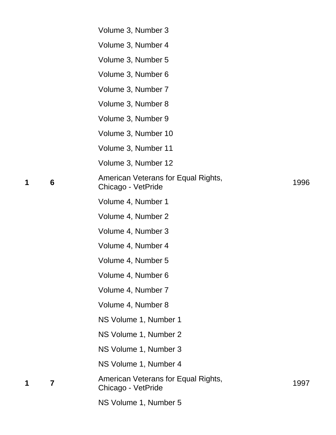|   |                 | Volume 3, Number 3                                        |      |
|---|-----------------|-----------------------------------------------------------|------|
|   |                 | Volume 3, Number 4                                        |      |
|   |                 | Volume 3, Number 5                                        |      |
|   |                 | Volume 3, Number 6                                        |      |
|   |                 | Volume 3, Number 7                                        |      |
|   |                 | Volume 3, Number 8                                        |      |
|   |                 | Volume 3, Number 9                                        |      |
|   |                 | Volume 3, Number 10                                       |      |
|   |                 | Volume 3, Number 11                                       |      |
|   |                 | Volume 3, Number 12                                       |      |
| 1 | $6\phantom{1}6$ | American Veterans for Equal Rights,<br>Chicago - VetPride | 1996 |
|   |                 | Volume 4, Number 1                                        |      |
|   |                 | Volume 4, Number 2                                        |      |
|   |                 | Volume 4, Number 3                                        |      |
|   |                 | Volume 4, Number 4                                        |      |
|   |                 | Volume 4, Number 5                                        |      |
|   |                 | Volume 4, Number 6                                        |      |
|   |                 | Volume 4, Number 7                                        |      |
|   |                 | Volume 4, Number 8                                        |      |
|   |                 | NS Volume 1, Number 1                                     |      |
|   |                 | NS Volume 1, Number 2                                     |      |
|   |                 | NS Volume 1, Number 3                                     |      |
|   |                 | NS Volume 1, Number 4                                     |      |
| 1 | $\overline{7}$  | American Veterans for Equal Rights,<br>Chicago - VetPride | 1997 |
|   |                 | NS Volume 1, Number 5                                     |      |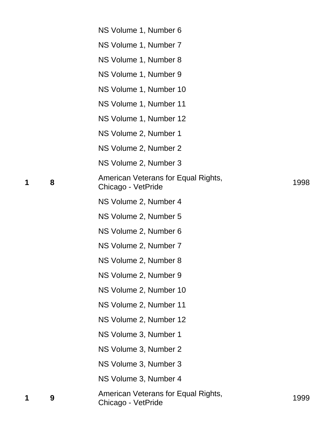|   | NS Volume 1, Number 6                                     |      |
|---|-----------------------------------------------------------|------|
|   | NS Volume 1, Number 7                                     |      |
|   | NS Volume 1, Number 8                                     |      |
|   | NS Volume 1, Number 9                                     |      |
|   | NS Volume 1, Number 10                                    |      |
|   | NS Volume 1, Number 11                                    |      |
|   | NS Volume 1, Number 12                                    |      |
|   | NS Volume 2, Number 1                                     |      |
|   | NS Volume 2, Number 2                                     |      |
|   | NS Volume 2, Number 3                                     |      |
| 8 | American Veterans for Equal Rights,<br>Chicago - VetPride | 1998 |
|   | NS Volume 2, Number 4                                     |      |
|   | NS Volume 2, Number 5                                     |      |
|   | NS Volume 2, Number 6                                     |      |
|   | NS Volume 2, Number 7                                     |      |
|   | NS Volume 2, Number 8                                     |      |
|   | NS Volume 2, Number 9                                     |      |
|   | NS Volume 2, Number 10                                    |      |
|   | NS Volume 2, Number 11                                    |      |
|   | NS Volume 2, Number 12                                    |      |
|   | NS Volume 3, Number 1                                     |      |
|   | NS Volume 3, Number 2                                     |      |
|   | NS Volume 3, Number 3                                     |      |
|   | NS Volume 3, Number 4                                     |      |
| 9 | American Veterans for Equal Rights,<br>Chicago - VetPride | 1999 |

**1 8**

**1 9**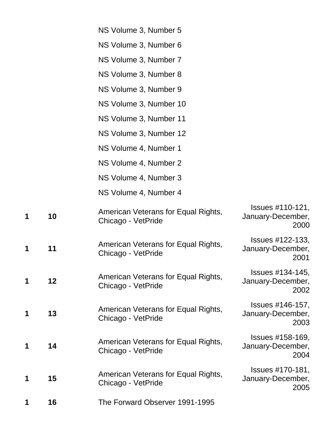|   |    | NS Volume 3, Number 5                                     |                                                      |
|---|----|-----------------------------------------------------------|------------------------------------------------------|
|   |    | NS Volume 3, Number 6                                     |                                                      |
|   |    | NS Volume 3, Number 7                                     |                                                      |
|   |    | NS Volume 3, Number 8                                     |                                                      |
|   |    | NS Volume 3, Number 9                                     |                                                      |
|   |    | NS Volume 3, Number 10                                    |                                                      |
|   |    | NS Volume 3, Number 11                                    |                                                      |
|   |    | NS Volume 3, Number 12                                    |                                                      |
|   |    | NS Volume 4, Number 1                                     |                                                      |
|   |    | NS Volume 4, Number 2                                     |                                                      |
|   |    | NS Volume 4, Number 3                                     |                                                      |
|   |    | NS Volume 4, Number 4                                     |                                                      |
| 1 | 10 | American Veterans for Equal Rights,<br>Chicago - VetPride | Issues #110-121,<br>January-December,<br>2000        |
| 1 | 11 | American Veterans for Equal Rights,<br>Chicago - VetPride | <b>Issues #122-133,</b><br>January-December,<br>2001 |
| 1 | 12 | American Veterans for Equal Rights,<br>Chicago - VetPride | <b>Issues #134-145,</b><br>January-December,<br>2002 |
| 1 | 13 | American Veterans for Equal Rights,<br>Chicago - VetPride | Issues #146-157,<br>January-December,<br>2003        |
| 1 | 14 | American Veterans for Equal Rights,<br>Chicago - VetPride | Issues #158-169,<br>January-December,<br>2004        |
| 1 | 15 | American Veterans for Equal Rights,<br>Chicago - VetPride | Issues #170-181,<br>January-December,<br>2005        |
| 1 | 16 | The Forward Observer 1991-1995                            |                                                      |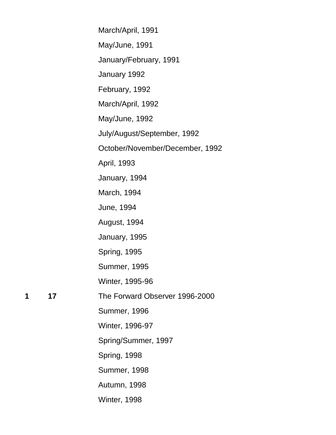|   |    | March/April, 1991               |
|---|----|---------------------------------|
|   |    | May/June, 1991                  |
|   |    | January/February, 1991          |
|   |    | January 1992                    |
|   |    | February, 1992                  |
|   |    | March/April, 1992               |
|   |    | May/June, 1992                  |
|   |    | July/August/September, 1992     |
|   |    | October/November/December, 1992 |
|   |    | April, 1993                     |
|   |    | January, 1994                   |
|   |    | March, 1994                     |
|   |    | June, 1994                      |
|   |    | August, 1994                    |
|   |    | January, 1995                   |
|   |    | <b>Spring, 1995</b>             |
|   |    | <b>Summer, 1995</b>             |
|   |    | Winter, 1995-96                 |
| 1 | 17 | The Forward Observer 1996-2000  |
|   |    | <b>Summer, 1996</b>             |
|   |    | Winter, 1996-97                 |
|   |    | Spring/Summer, 1997             |
|   |    | Spring, 1998                    |
|   |    | <b>Summer, 1998</b>             |
|   |    | Autumn, 1998                    |
|   |    | Winter, 1998                    |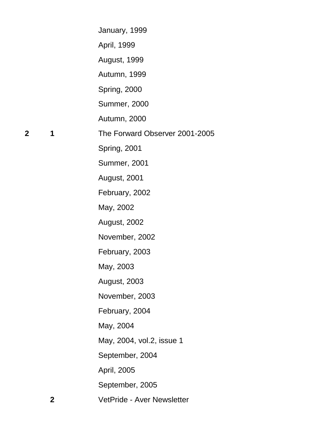|              |              | January, 1999                     |
|--------------|--------------|-----------------------------------|
|              |              | April, 1999                       |
|              |              | August, 1999                      |
|              |              | Autumn, 1999                      |
|              |              | Spring, 2000                      |
|              |              | <b>Summer, 2000</b>               |
|              |              | Autumn, 2000                      |
| $\mathbf{2}$ | 1            | The Forward Observer 2001-2005    |
|              |              | Spring, 2001                      |
|              |              | <b>Summer, 2001</b>               |
|              |              | <b>August, 2001</b>               |
|              |              | February, 2002                    |
|              |              | May, 2002                         |
|              |              | <b>August, 2002</b>               |
|              |              | November, 2002                    |
|              |              | February, 2003                    |
|              |              | May, 2003                         |
|              |              | <b>August, 2003</b>               |
|              |              | November, 2003                    |
|              |              | February, 2004                    |
|              |              | May, 2004                         |
|              |              | May, 2004, vol.2, issue 1         |
|              |              | September, 2004                   |
|              |              | April, 2005                       |
|              |              | September, 2005                   |
|              | $\mathbf{2}$ | <b>VetPride - Aver Newsletter</b> |